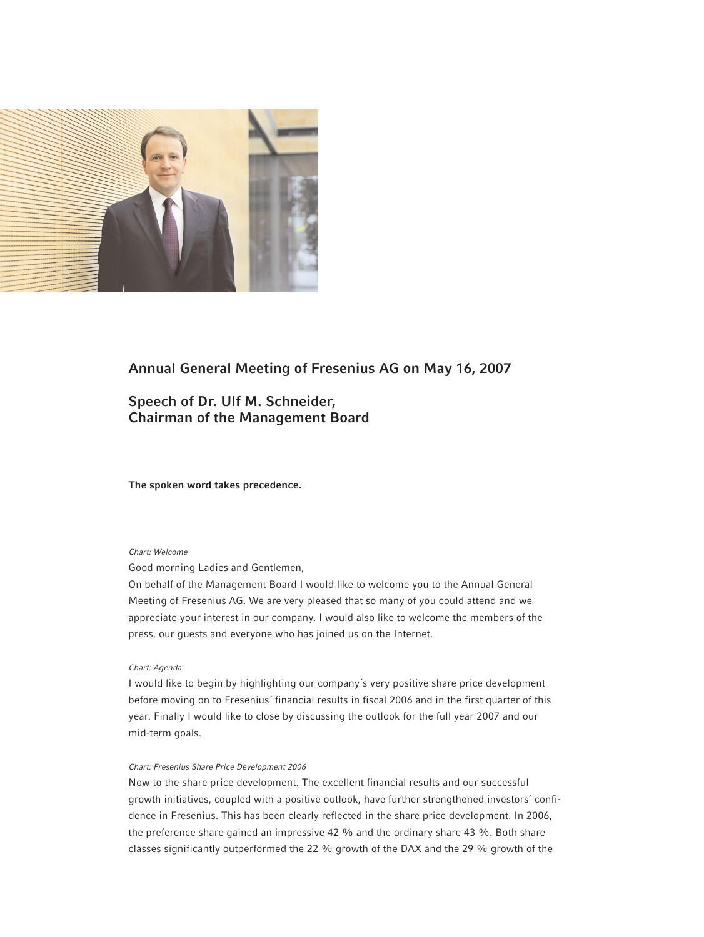

# **Annual General Meeting of Fresenius AG on May 16, 2007**

# **Speech of Dr. Ulf M. Schneider, Chairman of the Management Board**

## **The spoken word takes precedence.**

## *Chart: Welcome*

Good morning Ladies and Gentlemen,

On behalf of the Management Board I would like to welcome you to the Annual General Meeting of Fresenius AG. We are very pleased that so many of you could attend and we appreciate your interest in our company. I would also like to welcome the members of the press, our guests and everyone who has joined us on the Internet.

#### *Chart: Agenda*

I would like to begin by highlighting our company´s very positive share price development before moving on to Fresenius´ financial results in fiscal 2006 and in the first quarter of this year. Finally I would like to close by discussing the outlook for the full year 2007 and our mid-term goals.

## *Chart: Fresenius Share Price Development 2006*

Now to the share price development. The excellent financial results and our successful growth initiatives, coupled with a positive outlook, have further strengthened investors' confidence in Fresenius. This has been clearly reflected in the share price development. In 2006, the preference share gained an impressive 42 % and the ordinary share 43 %. Both share classes significantly outperformed the 22 % growth of the DAX and the 29 % growth of the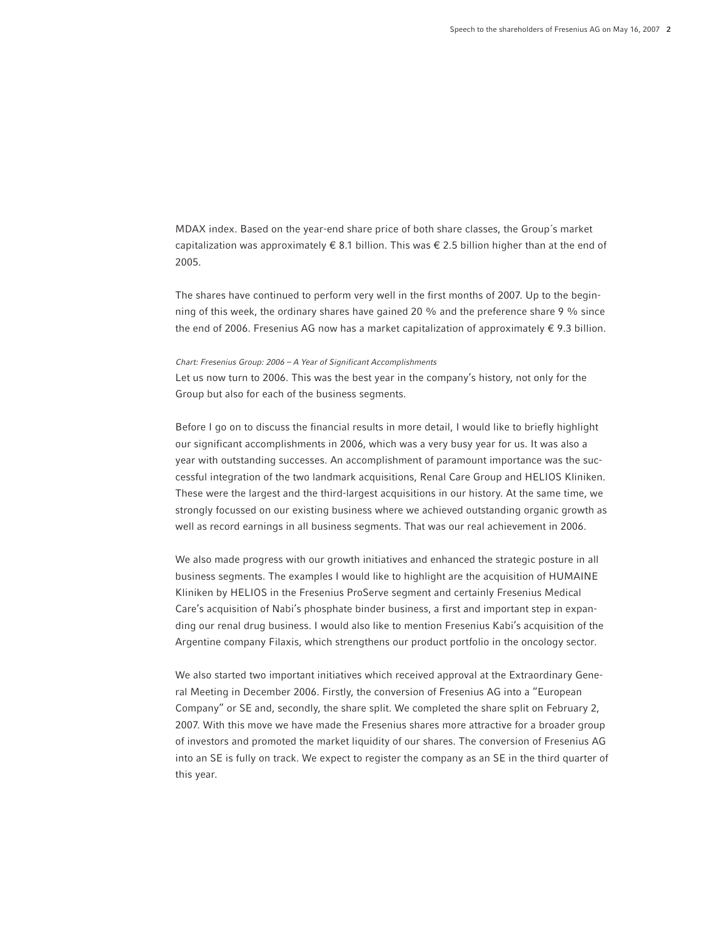MDAX index. Based on the year-end share price of both share classes, the Group´s market capitalization was approximately € 8.1 billion. This was € 2.5 billion higher than at the end of 2005.

The shares have continued to perform very well in the first months of 2007. Up to the beginning of this week, the ordinary shares have gained 20 % and the preference share 9 % since the end of 2006. Fresenius AG now has a market capitalization of approximately  $\epsilon$  9.3 billion.

## *Chart: Fresenius Group: 2006 – A Year of Significant Accomplishments*

Let us now turn to 2006. This was the best year in the company's history, not only for the Group but also for each of the business segments.

Before I go on to discuss the financial results in more detail, I would like to briefly highlight our significant accomplishments in 2006, which was a very busy year for us. It was also a year with outstanding successes. An accomplishment of paramount importance was the successful integration of the two landmark acquisitions, Renal Care Group and HELIOS Kliniken. These were the largest and the third-largest acquisitions in our history. At the same time, we strongly focussed on our existing business where we achieved outstanding organic growth as well as record earnings in all business segments. That was our real achievement in 2006.

We also made progress with our growth initiatives and enhanced the strategic posture in all business segments. The examples I would like to highlight are the acquisition of HUMAINE Kliniken by HELIOS in the Fresenius ProServe segment and certainly Fresenius Medical Care's acquisition of Nabi's phosphate binder business, a first and important step in expanding our renal drug business. I would also like to mention Fresenius Kabi's acquisition of the Argentine company Filaxis, which strengthens our product portfolio in the oncology sector.

We also started two important initiatives which received approval at the Extraordinary General Meeting in December 2006. Firstly, the conversion of Fresenius AG into a "European Company" or SE and, secondly, the share split. We completed the share split on February 2, 2007. With this move we have made the Fresenius shares more attractive for a broader group of investors and promoted the market liquidity of our shares. The conversion of Fresenius AG into an SE is fully on track. We expect to register the company as an SE in the third quarter of this year.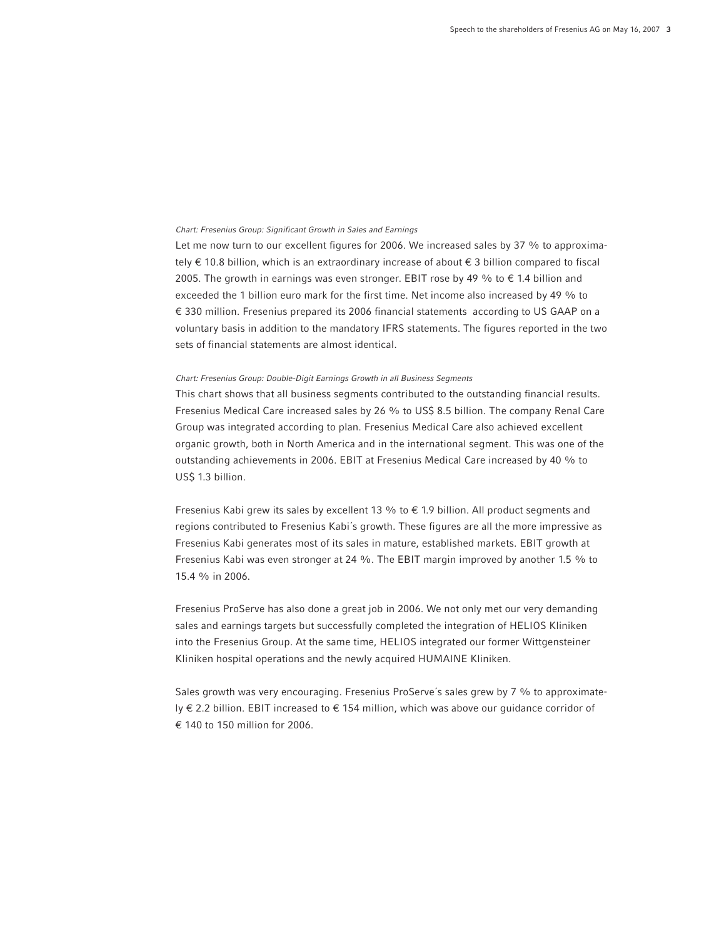#### *Chart: Fresenius Group: Significant Growth in Sales and Earnings*

Let me now turn to our excellent figures for 2006. We increased sales by 37 % to approximately € 10.8 billion, which is an extraordinary increase of about € 3 billion compared to fiscal 2005. The growth in earnings was even stronger. EBIT rose by 49 % to  $\epsilon$  1.4 billion and exceeded the 1 billion euro mark for the first time. Net income also increased by 49 % to € 330 million. Fresenius prepared its 2006 financial statements according to US GAAP on a voluntary basis in addition to the mandatory IFRS statements. The figures reported in the two sets of financial statements are almost identical.

## *Chart: Fresenius Group: Double-Digit Earnings Growth in all Business Segments*

This chart shows that all business segments contributed to the outstanding financial results. Fresenius Medical Care increased sales by 26 % to US\$ 8.5 billion. The company Renal Care Group was integrated according to plan. Fresenius Medical Care also achieved excellent organic growth, both in North America and in the international segment. This was one of the outstanding achievements in 2006. EBIT at Fresenius Medical Care increased by 40 % to US\$ 1.3 billion.

Fresenius Kabi grew its sales by excellent 13 % to  $\epsilon$  1.9 billion. All product segments and regions contributed to Fresenius Kabi´s growth. These figures are all the more impressive as Fresenius Kabi generates most of its sales in mature, established markets. EBIT growth at Fresenius Kabi was even stronger at 24 %. The EBIT margin improved by another 1.5 % to 15.4 % in 2006.

Fresenius ProServe has also done a great job in 2006. We not only met our very demanding sales and earnings targets but successfully completed the integration of HELIOS Kliniken into the Fresenius Group. At the same time, HELIOS integrated our former Wittgensteiner Kliniken hospital operations and the newly acquired HUMAINE Kliniken.

Sales growth was very encouraging. Fresenius ProServe´s sales grew by 7 % to approximately € 2.2 billion. EBIT increased to € 154 million, which was above our guidance corridor of € 140 to 150 million for 2006.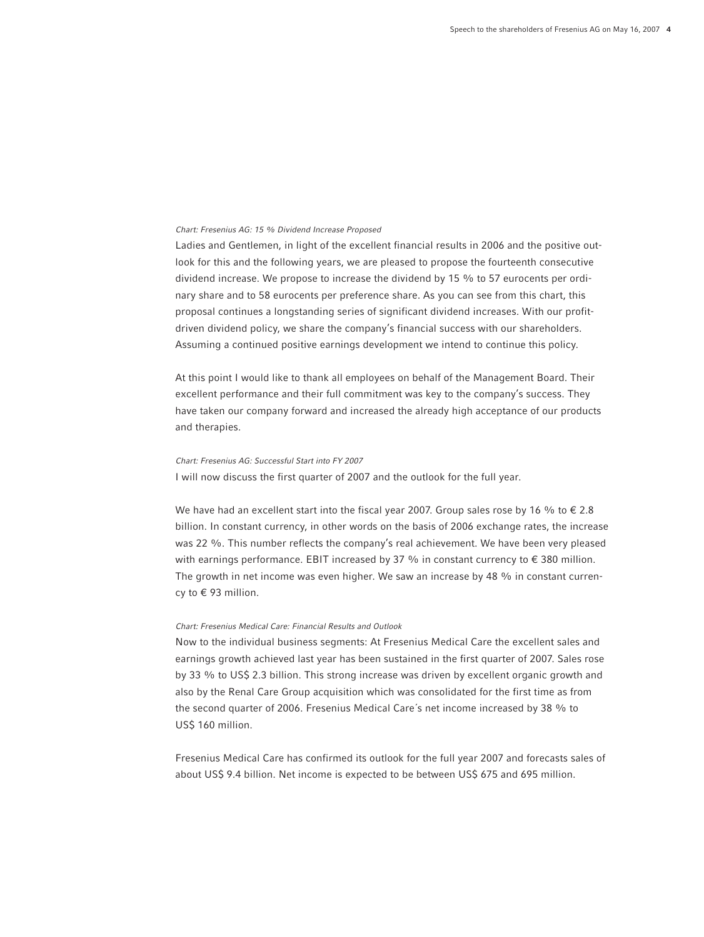#### *Chart: Fresenius AG: 15 % Dividend Increase Proposed*

Ladies and Gentlemen, in light of the excellent financial results in 2006 and the positive outlook for this and the following years, we are pleased to propose the fourteenth consecutive dividend increase. We propose to increase the dividend by 15 % to 57 eurocents per ordinary share and to 58 eurocents per preference share. As you can see from this chart, this proposal continues a longstanding series of significant dividend increases. With our profitdriven dividend policy, we share the company's financial success with our shareholders. Assuming a continued positive earnings development we intend to continue this policy.

At this point I would like to thank all employees on behalf of the Management Board. Their excellent performance and their full commitment was key to the company's success. They have taken our company forward and increased the already high acceptance of our products and therapies.

## *Chart: Fresenius AG: Successful Start into FY 2007*

I will now discuss the first quarter of 2007 and the outlook for the full year.

We have had an excellent start into the fiscal year 2007. Group sales rose by 16 % to  $\epsilon$  2.8 billion. In constant currency, in other words on the basis of 2006 exchange rates, the increase was 22 %. This number reflects the company's real achievement. We have been very pleased with earnings performance. EBIT increased by 37 % in constant currency to  $\epsilon$  380 million. The growth in net income was even higher. We saw an increase by 48 % in constant currency to € 93 million.

## *Chart: Fresenius Medical Care: Financial Results and Outlook*

Now to the individual business segments: At Fresenius Medical Care the excellent sales and earnings growth achieved last year has been sustained in the first quarter of 2007. Sales rose by 33 % to US\$ 2.3 billion. This strong increase was driven by excellent organic growth and also by the Renal Care Group acquisition which was consolidated for the first time as from the second quarter of 2006. Fresenius Medical Care´s net income increased by 38 % to US\$ 160 million.

Fresenius Medical Care has confirmed its outlook for the full year 2007 and forecasts sales of about US\$ 9.4 billion. Net income is expected to be between US\$ 675 and 695 million.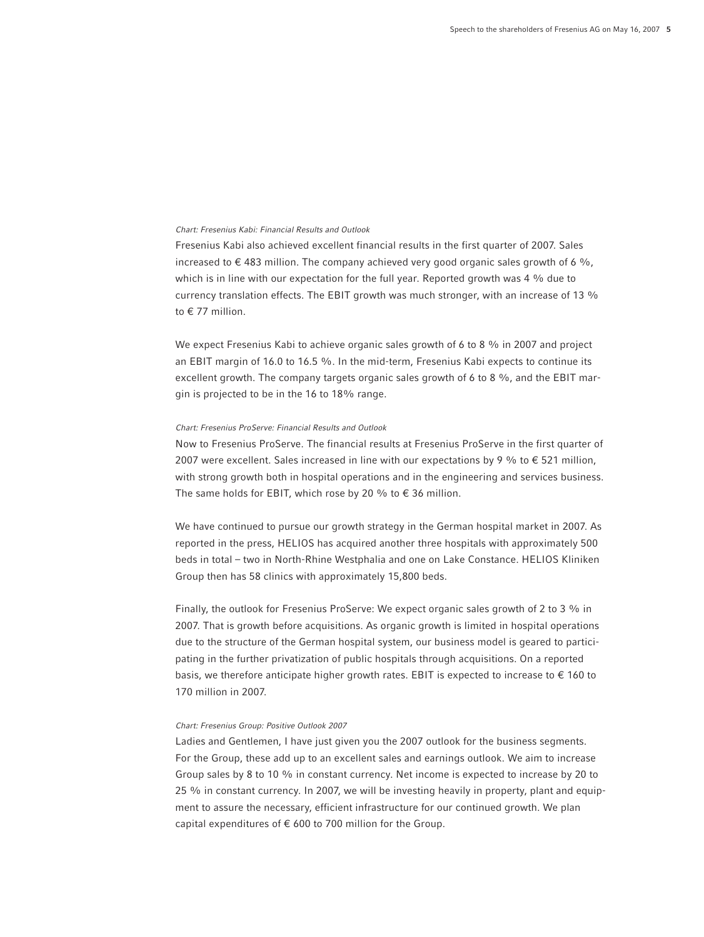## *Chart: Fresenius Kabi: Financial Results and Outlook*

Fresenius Kabi also achieved excellent financial results in the first quarter of 2007. Sales increased to  $\epsilon$  483 million. The company achieved very good organic sales growth of 6 %, which is in line with our expectation for the full year. Reported growth was 4 % due to currency translation effects. The EBIT growth was much stronger, with an increase of 13 % to € 77 million.

We expect Fresenius Kabi to achieve organic sales growth of 6 to 8 % in 2007 and project an EBIT margin of 16.0 to 16.5 %. In the mid-term, Fresenius Kabi expects to continue its excellent growth. The company targets organic sales growth of 6 to 8 %, and the EBIT margin is projected to be in the 16 to 18% range.

## *Chart: Fresenius ProServe: Financial Results and Outlook*

Now to Fresenius ProServe. The financial results at Fresenius ProServe in the first quarter of 2007 were excellent. Sales increased in line with our expectations by 9 % to  $\epsilon$  521 million, with strong growth both in hospital operations and in the engineering and services business. The same holds for EBIT, which rose by 20 % to  $\epsilon$  36 million.

We have continued to pursue our growth strategy in the German hospital market in 2007. As reported in the press, HELIOS has acquired another three hospitals with approximately 500 beds in total – two in North-Rhine Westphalia and one on Lake Constance. HELIOS Kliniken Group then has 58 clinics with approximately 15,800 beds.

Finally, the outlook for Fresenius ProServe: We expect organic sales growth of 2 to 3 % in 2007. That is growth before acquisitions. As organic growth is limited in hospital operations due to the structure of the German hospital system, our business model is geared to participating in the further privatization of public hospitals through acquisitions. On a reported basis, we therefore anticipate higher growth rates. EBIT is expected to increase to  $\epsilon$  160 to 170 million in 2007.

## *Chart: Fresenius Group: Positive Outlook 2007*

Ladies and Gentlemen, I have just given you the 2007 outlook for the business segments. For the Group, these add up to an excellent sales and earnings outlook. We aim to increase Group sales by 8 to 10 % in constant currency. Net income is expected to increase by 20 to 25 % in constant currency. In 2007, we will be investing heavily in property, plant and equipment to assure the necessary, efficient infrastructure for our continued growth. We plan capital expenditures of  $\epsilon$  600 to 700 million for the Group.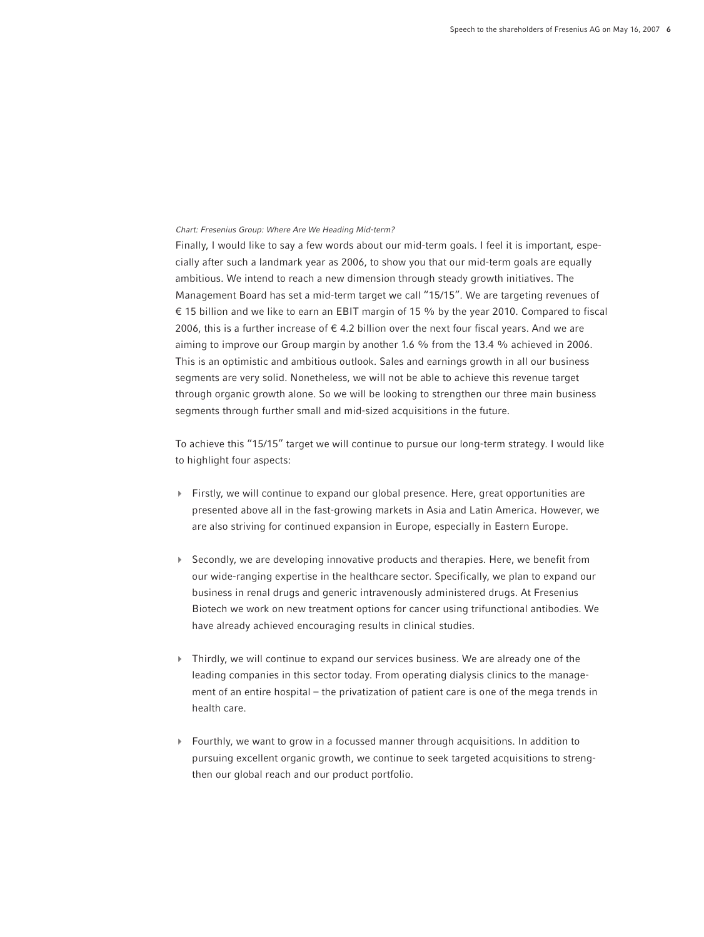#### *Chart: Fresenius Group: Where Are We Heading Mid-term?*

Finally, I would like to say a few words about our mid-term goals. I feel it is important, especially after such a landmark year as 2006, to show you that our mid-term goals are equally ambitious. We intend to reach a new dimension through steady growth initiatives. The Management Board has set a mid-term target we call "15/15". We are targeting revenues of € 15 billion and we like to earn an EBIT margin of 15 % by the year 2010. Compared to fiscal 2006, this is a further increase of  $\epsilon$  4.2 billion over the next four fiscal years. And we are aiming to improve our Group margin by another 1.6 % from the 13.4 % achieved in 2006. This is an optimistic and ambitious outlook. Sales and earnings growth in all our business segments are very solid. Nonetheless, we will not be able to achieve this revenue target through organic growth alone. So we will be looking to strengthen our three main business segments through further small and mid-sized acquisitions in the future.

To achieve this "15/15" target we will continue to pursue our long-term strategy. I would like to highlight four aspects:

- $\blacktriangleright$  Firstly, we will continue to expand our global presence. Here, great opportunities are presented above all in the fast-growing markets in Asia and Latin America. However, we are also striving for continued expansion in Europe, especially in Eastern Europe.
- ▶ Secondly, we are developing innovative products and therapies. Here, we benefit from our wide-ranging expertise in the healthcare sector. Specifically, we plan to expand our business in renal drugs and generic intravenously administered drugs. At Fresenius Biotech we work on new treatment options for cancer using trifunctional antibodies. We have already achieved encouraging results in clinical studies.
- 4 Thirdly, we will continue to expand our services business. We are already one of the leading companies in this sector today. From operating dialysis clinics to the management of an entire hospital – the privatization of patient care is one of the mega trends in health care.
- 4 Fourthly, we want to grow in a focussed manner through acquisitions. In addition to pursuing excellent organic growth, we continue to seek targeted acquisitions to strengthen our global reach and our product portfolio.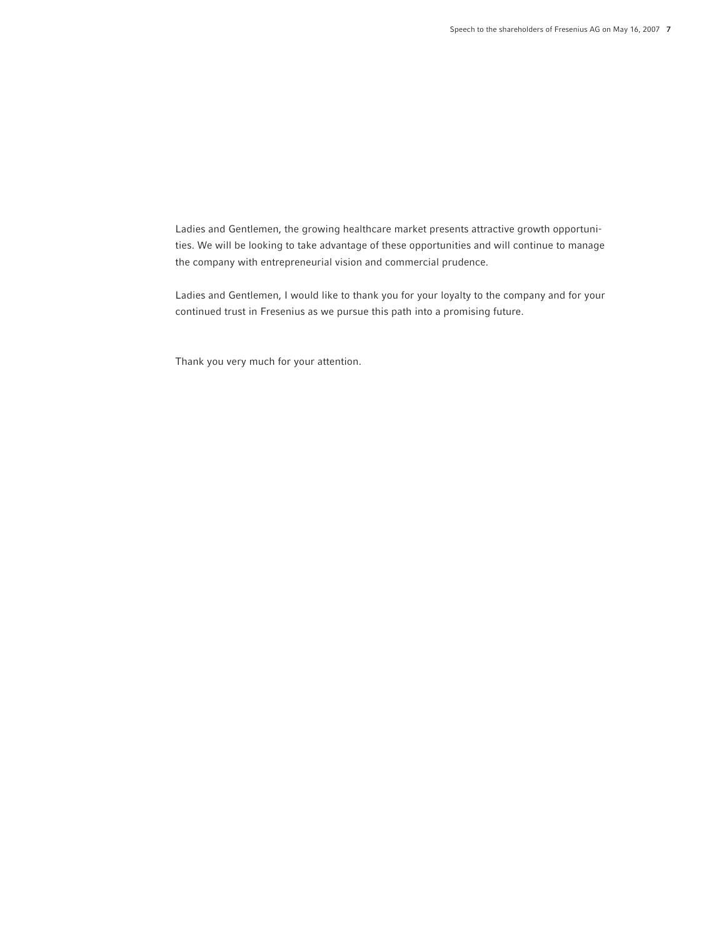Ladies and Gentlemen, the growing healthcare market presents attractive growth opportunities. We will be looking to take advantage of these opportunities and will continue to manage the company with entrepreneurial vision and commercial prudence.

Ladies and Gentlemen, I would like to thank you for your loyalty to the company and for your continued trust in Fresenius as we pursue this path into a promising future.

Thank you very much for your attention.